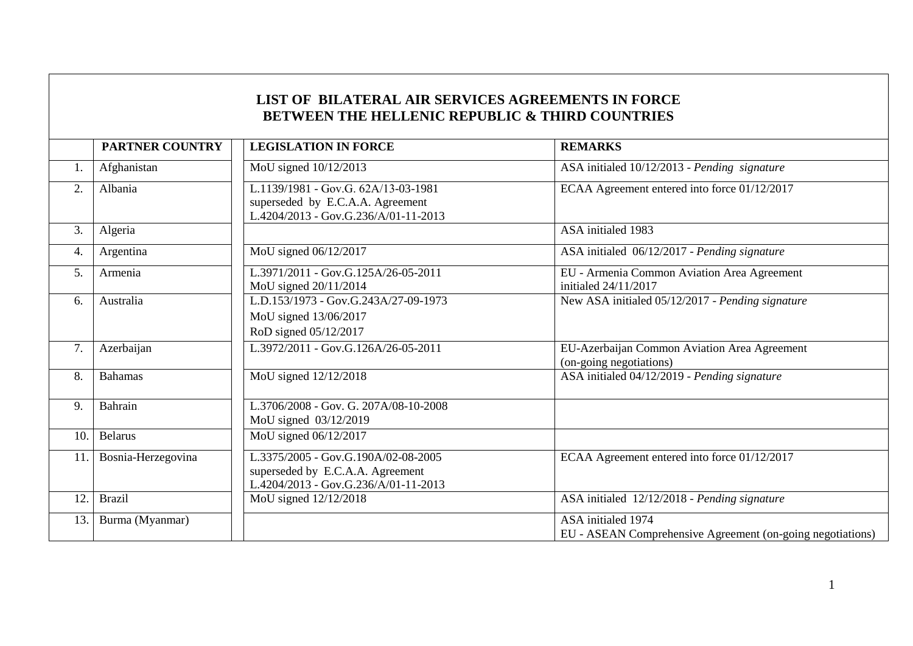|     | PARTNER COUNTRY    | BETWEEN THE HELLENIC REPUBLIC & THIRD COUNTRIES<br><b>LEGISLATION IN FORCE</b>                                  | <b>REMARKS</b>                                                                   |
|-----|--------------------|-----------------------------------------------------------------------------------------------------------------|----------------------------------------------------------------------------------|
|     |                    |                                                                                                                 |                                                                                  |
| 1.  | Afghanistan        | MoU signed 10/12/2013                                                                                           | ASA initialed 10/12/2013 - Pending signature                                     |
| 2.  | Albania            | L.1139/1981 - Gov.G. 62A/13-03-1981<br>superseded by E.C.A.A. Agreement<br>L.4204/2013 - Gov.G.236/A/01-11-2013 | ECAA Agreement entered into force 01/12/2017                                     |
| 3.  | Algeria            |                                                                                                                 | ASA initialed 1983                                                               |
| 4.  | Argentina          | MoU signed 06/12/2017                                                                                           | ASA initialed 06/12/2017 - Pending signature                                     |
| 5.  | Armenia            | L.3971/2011 - Gov.G.125A/26-05-2011<br>MoU signed 20/11/2014                                                    | EU - Armenia Common Aviation Area Agreement<br>initialed 24/11/2017              |
| 6.  | Australia          | L.D.153/1973 - Gov.G.243A/27-09-1973<br>MoU signed 13/06/2017<br>RoD signed 05/12/2017                          | New ASA initialed 05/12/2017 - Pending signature                                 |
| 7.  | Azerbaijan         | L.3972/2011 - Gov.G.126A/26-05-2011                                                                             | EU-Azerbaijan Common Aviation Area Agreement<br>(on-going negotiations)          |
| 8.  | <b>Bahamas</b>     | MoU signed 12/12/2018                                                                                           | ASA initialed 04/12/2019 - Pending signature                                     |
| 9.  | Bahrain            | L.3706/2008 - Gov. G. 207A/08-10-2008<br>MoU signed 03/12/2019                                                  |                                                                                  |
| 10. | <b>Belarus</b>     | MoU signed 06/12/2017                                                                                           |                                                                                  |
| 11. | Bosnia-Herzegovina | L.3375/2005 - Gov.G.190A/02-08-2005<br>superseded by E.C.A.A. Agreement<br>L.4204/2013 - Gov.G.236/A/01-11-2013 | ECAA Agreement entered into force 01/12/2017                                     |
| 12. | <b>Brazil</b>      | MoU signed 12/12/2018                                                                                           | ASA initialed 12/12/2018 - Pending signature                                     |
| 13. | Burma (Myanmar)    |                                                                                                                 | ASA initialed 1974<br>EU - ASEAN Comprehensive Agreement (on-going negotiations) |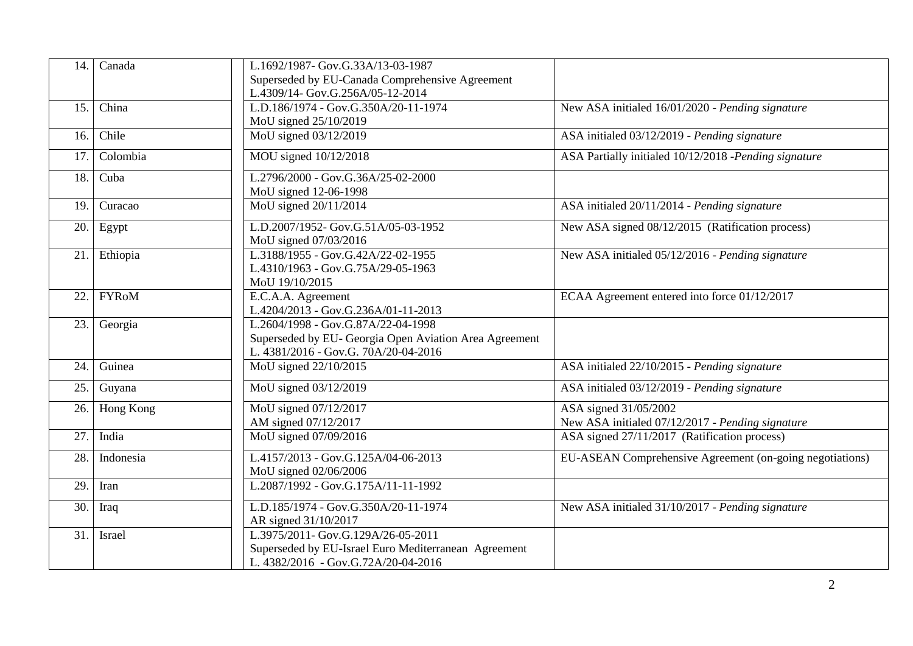| 14. | Canada       | L.1692/1987- Gov.G.33A/13-03-1987                                                                                                    |                                                                           |
|-----|--------------|--------------------------------------------------------------------------------------------------------------------------------------|---------------------------------------------------------------------------|
|     |              | Superseded by EU-Canada Comprehensive Agreement                                                                                      |                                                                           |
| 15. | China        | L.4309/14- Gov.G.256A/05-12-2014<br>L.D.186/1974 - Gov.G.350A/20-11-1974                                                             | New ASA initialed 16/01/2020 - Pending signature                          |
|     |              | MoU signed 25/10/2019                                                                                                                |                                                                           |
| 16. | Chile        | MoU signed 03/12/2019                                                                                                                | ASA initialed 03/12/2019 - Pending signature                              |
| 17. | Colombia     | MOU signed 10/12/2018                                                                                                                | ASA Partially initialed 10/12/2018 -Pending signature                     |
| 18. | Cuba         | L.2796/2000 - Gov.G.36A/25-02-2000                                                                                                   |                                                                           |
|     |              | MoU signed 12-06-1998                                                                                                                |                                                                           |
| 19. | Curacao      | MoU signed 20/11/2014                                                                                                                | ASA initialed 20/11/2014 - Pending signature                              |
| 20. | Egypt        | L.D.2007/1952-Gov.G.51A/05-03-1952<br>MoU signed 07/03/2016                                                                          | New ASA signed 08/12/2015 (Ratification process)                          |
| 21. | Ethiopia     | L.3188/1955 - Gov.G.42A/22-02-1955<br>L.4310/1963 - Gov.G.75A/29-05-1963<br>MoU 19/10/2015                                           | New ASA initialed 05/12/2016 - Pending signature                          |
| 22. | <b>FYRoM</b> | E.C.A.A. Agreement<br>L.4204/2013 - Gov.G.236A/01-11-2013                                                                            | ECAA Agreement entered into force 01/12/2017                              |
| 23. | Georgia      | L.2604/1998 - Gov.G.87A/22-04-1998<br>Superseded by EU- Georgia Open Aviation Area Agreement<br>L. 4381/2016 - Gov.G. 70A/20-04-2016 |                                                                           |
| 24. | Guinea       | MoU signed 22/10/2015                                                                                                                | ASA initialed 22/10/2015 - Pending signature                              |
| 25. | Guyana       | MoU signed 03/12/2019                                                                                                                | ASA initialed 03/12/2019 - Pending signature                              |
| 26. | Hong Kong    | MoU signed 07/12/2017<br>AM signed 07/12/2017                                                                                        | ASA signed 31/05/2002<br>New ASA initialed 07/12/2017 - Pending signature |
| 27. | India        | MoU signed 07/09/2016                                                                                                                | ASA signed 27/11/2017 (Ratification process)                              |
| 28. | Indonesia    | L.4157/2013 - Gov.G.125A/04-06-2013<br>MoU signed 02/06/2006                                                                         | EU-ASEAN Comprehensive Agreement (on-going negotiations)                  |
| 29. | Iran         | L.2087/1992 - Gov.G.175A/11-11-1992                                                                                                  |                                                                           |
| 30. | Iraq         | L.D.185/1974 - Gov.G.350A/20-11-1974<br>AR signed 31/10/2017                                                                         | New ASA initialed 31/10/2017 - Pending signature                          |
| 31. | Israel       | L.3975/2011- Gov.G.129A/26-05-2011<br>Superseded by EU-Israel Euro Mediterranean Agreement<br>L. 4382/2016 - Gov.G.72A/20-04-2016    |                                                                           |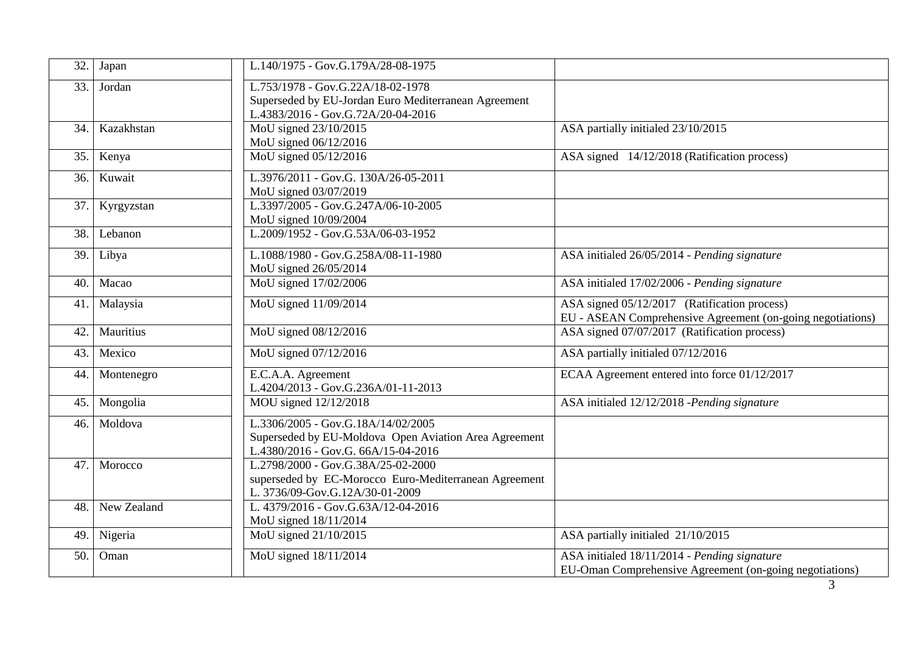| 32. | Japan       | L.140/1975 - Gov.G.179A/28-08-1975                                                                                                 |                                                                                                            |
|-----|-------------|------------------------------------------------------------------------------------------------------------------------------------|------------------------------------------------------------------------------------------------------------|
| 33. | Jordan      | L.753/1978 - Gov.G.22A/18-02-1978<br>Superseded by EU-Jordan Euro Mediterranean Agreement<br>L.4383/2016 - Gov.G.72A/20-04-2016    |                                                                                                            |
| 34. | Kazakhstan  | MoU signed 23/10/2015<br>MoU signed 06/12/2016                                                                                     | ASA partially initialed 23/10/2015                                                                         |
| 35. | Kenya       | MoU signed 05/12/2016                                                                                                              | ASA signed 14/12/2018 (Ratification process)                                                               |
| 36. | Kuwait      | L.3976/2011 - Gov.G. 130A/26-05-2011<br>MoU signed 03/07/2019                                                                      |                                                                                                            |
| 37. | Kyrgyzstan  | L.3397/2005 - Gov.G.247A/06-10-2005<br>MoU signed 10/09/2004                                                                       |                                                                                                            |
| 38. | Lebanon     | L.2009/1952 - Gov.G.53A/06-03-1952                                                                                                 |                                                                                                            |
| 39. | Libya       | L.1088/1980 - Gov.G.258A/08-11-1980<br>MoU signed 26/05/2014                                                                       | ASA initialed 26/05/2014 - Pending signature                                                               |
| 40. | Macao       | MoU signed 17/02/2006                                                                                                              | ASA initialed 17/02/2006 - Pending signature                                                               |
| 41. | Malaysia    | MoU signed 11/09/2014                                                                                                              | ASA signed 05/12/2017 (Ratification process)<br>EU - ASEAN Comprehensive Agreement (on-going negotiations) |
| 42. | Mauritius   | MoU signed 08/12/2016                                                                                                              | ASA signed 07/07/2017 (Ratification process)                                                               |
| 43. | Mexico      | MoU signed 07/12/2016                                                                                                              | ASA partially initialed 07/12/2016                                                                         |
| 44. | Montenegro  | E.C.A.A. Agreement<br>L.4204/2013 - Gov.G.236A/01-11-2013                                                                          | ECAA Agreement entered into force 01/12/2017                                                               |
| 45. | Mongolia    | MOU signed 12/12/2018                                                                                                              | ASA initialed 12/12/2018 -Pending signature                                                                |
| 46. | Moldova     | L.3306/2005 - Gov.G.18A/14/02/2005<br>Superseded by EU-Moldova Open Aviation Area Agreement<br>L.4380/2016 - Gov.G. 66A/15-04-2016 |                                                                                                            |
| 47. | Morocco     | L.2798/2000 - Gov.G.38A/25-02-2000<br>superseded by EC-Morocco Euro-Mediterranean Agreement<br>L. 3736/09-Gov.G.12A/30-01-2009     |                                                                                                            |
| 48. | New Zealand | L. 4379/2016 - Gov.G.63A/12-04-2016<br>MoU signed 18/11/2014                                                                       |                                                                                                            |
| 49. | Nigeria     | MoU signed 21/10/2015                                                                                                              | ASA partially initialed 21/10/2015                                                                         |
| 50. | Oman        | MoU signed 18/11/2014                                                                                                              | ASA initialed 18/11/2014 - Pending signature<br>EU-Oman Comprehensive Agreement (on-going negotiations)    |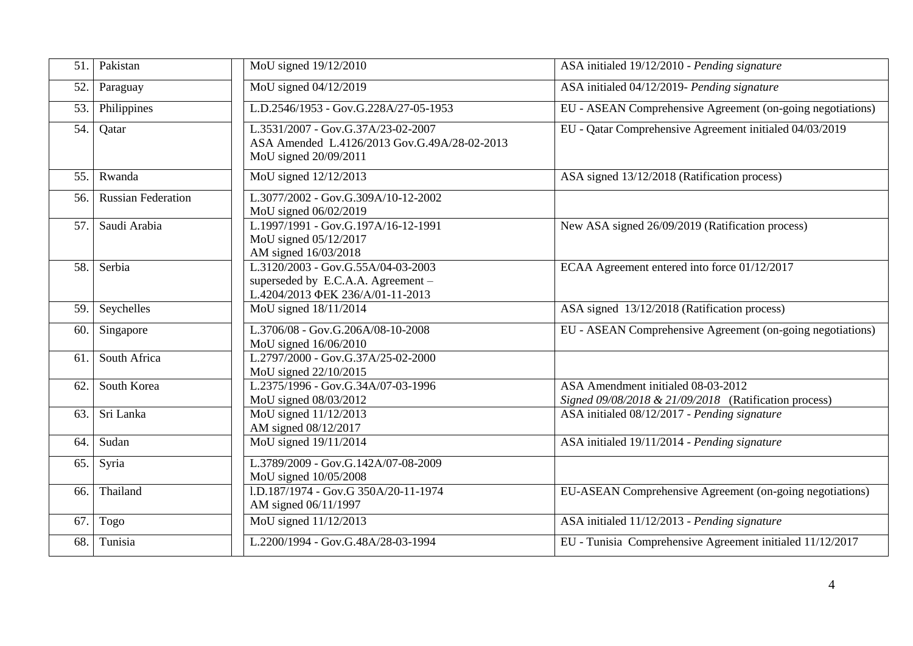| 51. | Pakistan                  | MoU signed 19/12/2010                                                                                          | ASA initialed 19/12/2010 - Pending signature                                                |
|-----|---------------------------|----------------------------------------------------------------------------------------------------------------|---------------------------------------------------------------------------------------------|
| 52. | Paraguay                  | MoU signed 04/12/2019                                                                                          | ASA initialed 04/12/2019- Pending signature                                                 |
| 53. | Philippines               | L.D.2546/1953 - Gov.G.228A/27-05-1953                                                                          | EU - ASEAN Comprehensive Agreement (on-going negotiations)                                  |
| 54. | Qatar                     | L.3531/2007 - Gov.G.37A/23-02-2007<br>ASA Amended L.4126/2013 Gov.G.49A/28-02-2013<br>MoU signed 20/09/2011    | EU - Qatar Comprehensive Agreement initialed 04/03/2019                                     |
| 55. | Rwanda                    | MoU signed 12/12/2013                                                                                          | ASA signed 13/12/2018 (Ratification process)                                                |
| 56. | <b>Russian Federation</b> | L.3077/2002 - Gov.G.309A/10-12-2002<br>MoU signed 06/02/2019                                                   |                                                                                             |
| 57. | Saudi Arabia              | L.1997/1991 - Gov.G.197A/16-12-1991<br>MoU signed 05/12/2017<br>AM signed 16/03/2018                           | New ASA signed 26/09/2019 (Ratification process)                                            |
| 58. | Serbia                    | L.3120/2003 - Gov.G.55A/04-03-2003<br>superseded by E.C.A.A. Agreement $-$<br>L.4204/2013 ΦΕΚ 236/A/01-11-2013 | ECAA Agreement entered into force 01/12/2017                                                |
| 59. | Seychelles                | MoU signed 18/11/2014                                                                                          | ASA signed 13/12/2018 (Ratification process)                                                |
| 60. | Singapore                 | L.3706/08 - Gov.G.206A/08-10-2008<br>MoU signed 16/06/2010                                                     | EU - ASEAN Comprehensive Agreement (on-going negotiations)                                  |
| 61. | South Africa              | L.2797/2000 - Gov.G.37A/25-02-2000<br>MoU signed 22/10/2015                                                    |                                                                                             |
| 62. | South Korea               | L.2375/1996 - Gov.G.34A/07-03-1996<br>MoU signed 08/03/2012                                                    | ASA Amendment initialed 08-03-2012<br>Signed 09/08/2018 & 21/09/2018 (Ratification process) |
| 63. | Sri Lanka                 | MoU signed 11/12/2013<br>AM signed 08/12/2017                                                                  | ASA initialed 08/12/2017 - Pending signature                                                |
| 64. | Sudan                     | MoU signed 19/11/2014                                                                                          | ASA initialed 19/11/2014 - Pending signature                                                |
| 65. | Syria                     | L.3789/2009 - Gov.G.142A/07-08-2009<br>MoU signed 10/05/2008                                                   |                                                                                             |
| 66. | Thailand                  | 1.D.187/1974 - Gov.G 350A/20-11-1974<br>AM signed 06/11/1997                                                   | EU-ASEAN Comprehensive Agreement (on-going negotiations)                                    |
| 67. | Togo                      | MoU signed 11/12/2013                                                                                          | ASA initialed 11/12/2013 - Pending signature                                                |
| 68. | Tunisia                   | L.2200/1994 - Gov.G.48A/28-03-1994                                                                             | EU - Tunisia Comprehensive Agreement initialed 11/12/2017                                   |